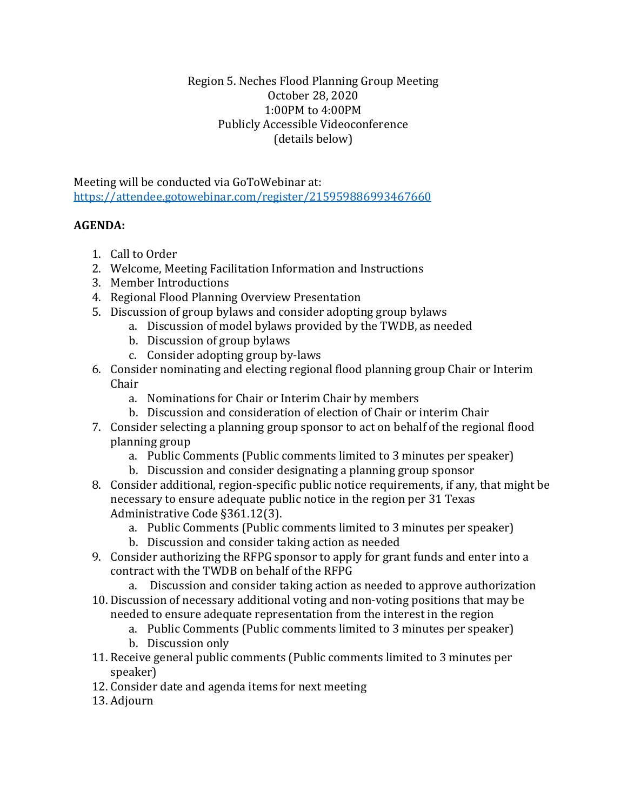## Region 5. Neches Flood Planning Group Meeting October 28, 2020 1:00PM to 4:00PM Publicly Accessible Videoconference (details below)

Meeting will be conducted via GoToWebinar at: <https://attendee.gotowebinar.com/register/215959886993467660>

## **AGENDA:**

- 1. Call to Order
- 2. Welcome, Meeting Facilitation Information and Instructions
- 3. Member Introductions
- 4. Regional Flood Planning Overview Presentation
- 5. Discussion of group bylaws and consider adopting group bylaws
	- a. Discussion of model bylaws provided by the TWDB, as needed
	- b. Discussion of group bylaws
	- c. Consider adopting group by-laws
- 6. Consider nominating and electing regional flood planning group Chair or Interim Chair
	- a. Nominations for Chair or Interim Chair by members
	- b. Discussion and consideration of election of Chair or interim Chair
- 7. Consider selecting a planning group sponsor to act on behalf of the regional flood planning group
	- a. Public Comments (Public comments limited to 3 minutes per speaker)
	- b. Discussion and consider designating a planning group sponsor
- 8. Consider additional, region-specific public notice requirements, if any, that might be necessary to ensure adequate public notice in the region per 31 Texas Administrative Code §361.12(3).
	- a. Public Comments (Public comments limited to 3 minutes per speaker)
	- b. Discussion and consider taking action as needed
- 9. Consider authorizing the RFPG sponsor to apply for grant funds and enter into a contract with the TWDB on behalf of the RFPG
	- a. Discussion and consider taking action as needed to approve authorization
- 10. Discussion of necessary additional voting and non-voting positions that may be needed to ensure adequate representation from the interest in the region
	- a. Public Comments (Public comments limited to 3 minutes per speaker)
	- b. Discussion only
- 11. Receive general public comments (Public comments limited to 3 minutes per speaker)
- 12. Consider date and agenda items for next meeting
- 13. Adjourn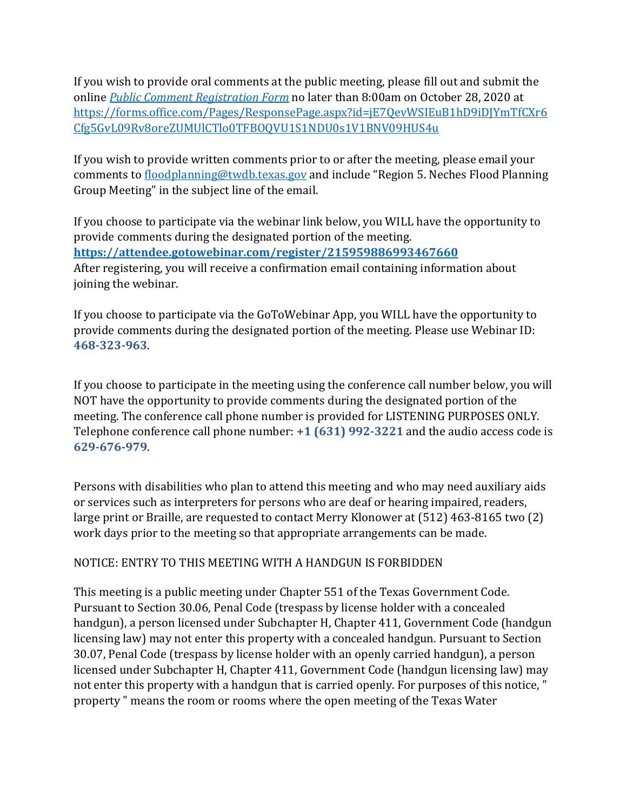If you wish to provide oral comments at the public meeting, please fill out and submit the online *[Public Comment Registration Form](https://forms.office.com/Pages/ResponsePage.aspx?id=jE7QevWSIEuB1hD9iDJYmTfCXr6Cfg5GvL09Rv8oreZUMUlCTlo0TFBOQVU1S1NDU0s1V1BNV09HUS4u)* no later than 8:00am on October 28, 2020 at [https://forms.office.com/Pages/ResponsePage.aspx?id=jE7QevWSIEuB1hD9iDJYmTfCXr6](https://forms.office.com/Pages/ResponsePage.aspx?id=jE7QevWSIEuB1hD9iDJYmTfCXr6Cfg5GvL09Rv8oreZUMUlCTlo0TFBOQVU1S1NDU0s1V1BNV09HUS4u) [Cfg5GvL09Rv8oreZUMUlCTlo0TFBOQVU1S1NDU0s1V1BNV09HUS4u](https://forms.office.com/Pages/ResponsePage.aspx?id=jE7QevWSIEuB1hD9iDJYmTfCXr6Cfg5GvL09Rv8oreZUMUlCTlo0TFBOQVU1S1NDU0s1V1BNV09HUS4u)

If you wish to provide written comments prior to or after the meeting, please email your comments to [floodplanning@twdb.texas.gov](mailto:floodplanning@twdb.texas.gov) and include "Region 5. Neches Flood Planning Group Meeting" in the subject line of the email.

If you choose to participate via the webinar link below, you WILL have the opportunity to provide comments during the designated portion of the meeting. **<https://attendee.gotowebinar.com/register/215959886993467660>** After registering, you will receive a confirmation email containing information about joining the webinar.

If you choose to participate via the GoToWebinar App, you WILL have the opportunity to provide comments during the designated portion of the meeting. Please use Webinar ID: **468-323-963**.

If you choose to participate in the meeting using the conference call number below, you will NOT have the opportunity to provide comments during the designated portion of the meeting. The conference call phone number is provided for LISTENING PURPOSES ONLY. Telephone conference call phone number: **+1 (631) 992-3221** and the audio access code is **629-676-979**.

Persons with disabilities who plan to attend this meeting and who may need auxiliary aids or services such as interpreters for persons who are deaf or hearing impaired, readers, large print or Braille, are requested to contact Merry Klonower at (512) 463-8165 two (2) work days prior to the meeting so that appropriate arrangements can be made.

## NOTICE: ENTRY TO THIS MEETING WITH A HANDGUN IS FORBIDDEN

This meeting is a public meeting under Chapter 551 of the Texas Government Code. Pursuant to Section 30.06, Penal Code (trespass by license holder with a concealed handgun), a person licensed under Subchapter H, Chapter 411, Government Code (handgun licensing law) may not enter this property with a concealed handgun. Pursuant to Section 30.07, Penal Code (trespass by license holder with an openly carried handgun), a person licensed under Subchapter H, Chapter 411, Government Code (handgun licensing law) may not enter this property with a handgun that is carried openly. For purposes of this notice, " property " means the room or rooms where the open meeting of the Texas Water